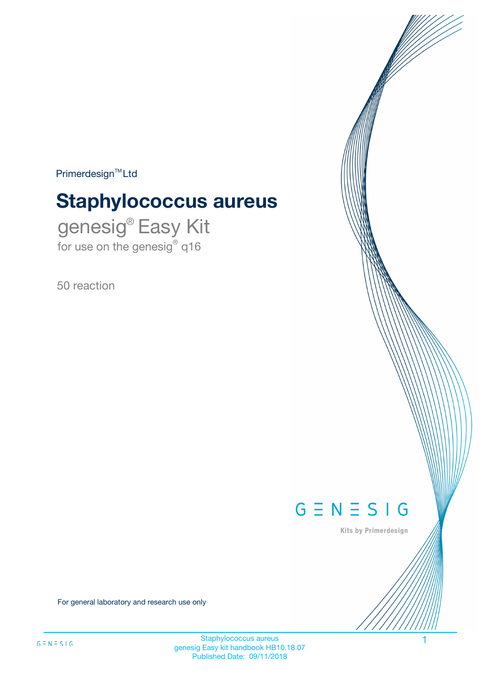$Primerdesign^{\text{TM}}Ltd$ 

# **Staphylococcus aureus**

genesig® Easy Kit for use on the genesig® q16

50 reaction



Kits by Primerdesign

For general laboratory and research use only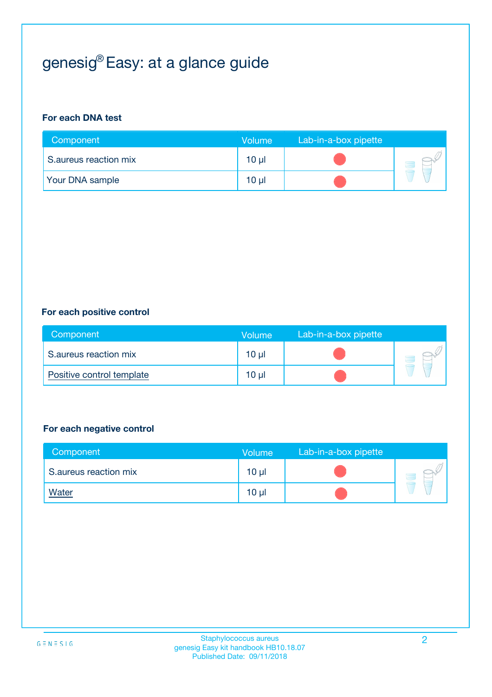# genesig® Easy: at a glance guide

#### **For each DNA test**

| Component              | <b>Volume</b> | Lab-in-a-box pipette |  |
|------------------------|---------------|----------------------|--|
| S.aureus reaction mix  | 10 µl         |                      |  |
| <b>Your DNA sample</b> | $10 \mu$      |                      |  |

#### **For each positive control**

| Component                 | Volume          | Lab-in-a-box pipette |  |
|---------------------------|-----------------|----------------------|--|
| S.aureus reaction mix     | 10 <sub>µ</sub> |                      |  |
| Positive control template | 10 <sub>µ</sub> |                      |  |

#### **For each negative control**

| Component             | Volume          | Lab-in-a-box pipette |  |
|-----------------------|-----------------|----------------------|--|
| S.aureus reaction mix | 10 <sub>µ</sub> |                      |  |
| <b>Water</b>          | 10 <sub>µ</sub> |                      |  |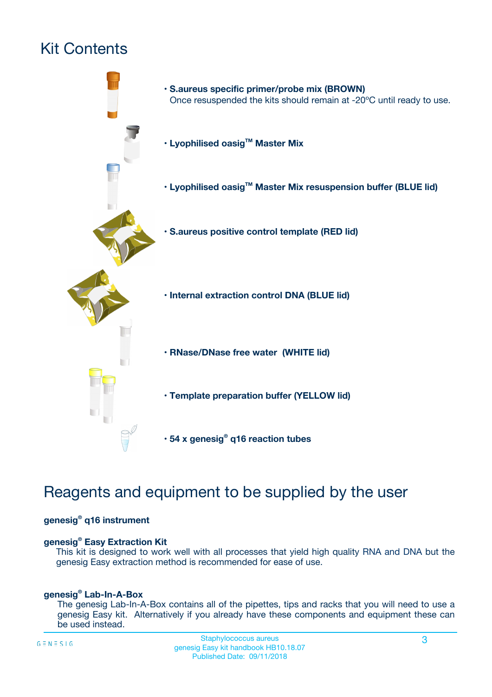# Kit Contents



# Reagents and equipment to be supplied by the user

#### **genesig® q16 instrument**

#### **genesig® Easy Extraction Kit**

This kit is designed to work well with all processes that yield high quality RNA and DNA but the genesig Easy extraction method is recommended for ease of use.

#### **genesig® Lab-In-A-Box**

The genesig Lab-In-A-Box contains all of the pipettes, tips and racks that you will need to use a genesig Easy kit. Alternatively if you already have these components and equipment these can be used instead.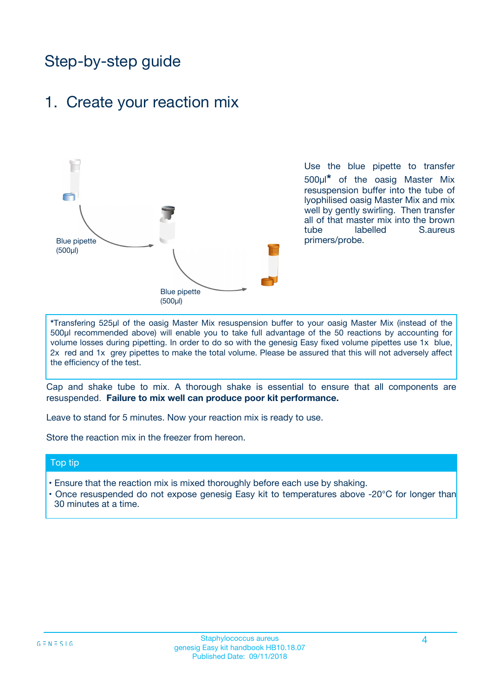# Step-by-step guide

## 1. Create your reaction mix



Use the blue pipette to transfer 500µl**\*** of the oasig Master Mix resuspension buffer into the tube of lyophilised oasig Master Mix and mix well by gently swirling. Then transfer all of that master mix into the brown tube labelled S.aureus primers/probe.

**\***Transfering 525µl of the oasig Master Mix resuspension buffer to your oasig Master Mix (instead of the 500µl recommended above) will enable you to take full advantage of the 50 reactions by accounting for volume losses during pipetting. In order to do so with the genesig Easy fixed volume pipettes use 1x blue, 2x red and 1x grey pipettes to make the total volume. Please be assured that this will not adversely affect the efficiency of the test.

Cap and shake tube to mix. A thorough shake is essential to ensure that all components are resuspended. **Failure to mix well can produce poor kit performance.**

Leave to stand for 5 minutes. Now your reaction mix is ready to use.

Store the reaction mix in the freezer from hereon.

#### Top tip

- Ensure that the reaction mix is mixed thoroughly before each use by shaking.
- **•** Once resuspended do not expose genesig Easy kit to temperatures above -20°C for longer than 30 minutes at a time.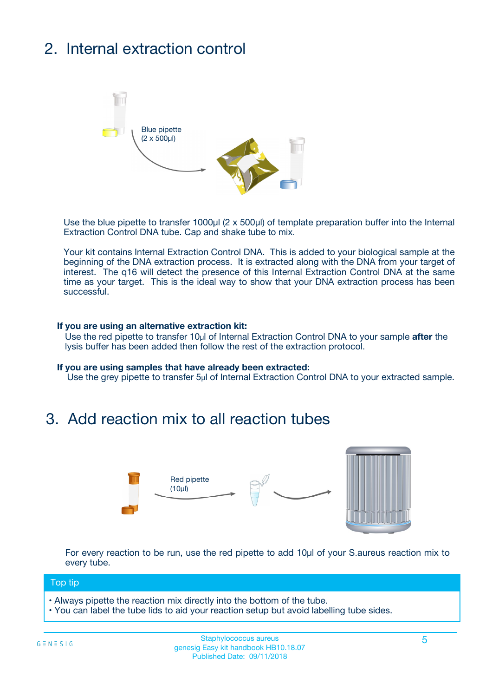# 2. Internal extraction control



Use the blue pipette to transfer 1000µl (2 x 500µl) of template preparation buffer into the Internal Extraction Control DNA tube. Cap and shake tube to mix.

Your kit contains Internal Extraction Control DNA. This is added to your biological sample at the beginning of the DNA extraction process. It is extracted along with the DNA from your target of interest. The q16 will detect the presence of this Internal Extraction Control DNA at the same time as your target. This is the ideal way to show that your DNA extraction process has been **successful.** 

#### **If you are using an alternative extraction kit:**

Use the red pipette to transfer 10µl of Internal Extraction Control DNA to your sample **after** the lysis buffer has been added then follow the rest of the extraction protocol.

#### **If you are using samples that have already been extracted:**

Use the grey pipette to transfer 5µl of Internal Extraction Control DNA to your extracted sample.

## 3. Add reaction mix to all reaction tubes



For every reaction to be run, use the red pipette to add 10µl of your S.aureus reaction mix to every tube.

#### Top tip

- Always pipette the reaction mix directly into the bottom of the tube.
- You can label the tube lids to aid your reaction setup but avoid labelling tube sides.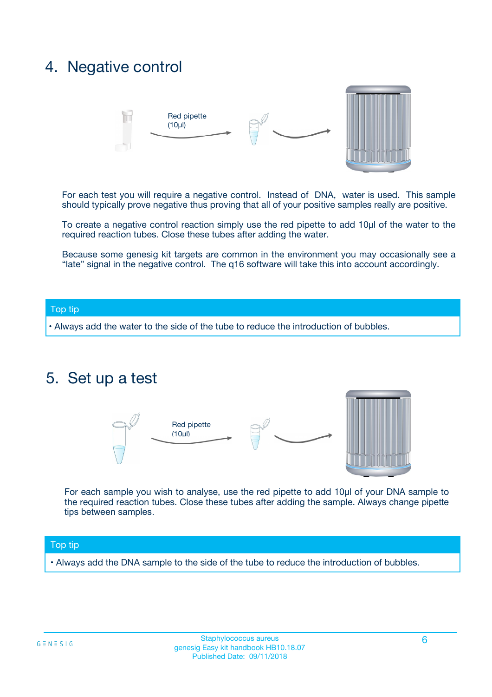# 4. Negative control



For each test you will require a negative control. Instead of DNA, water is used. This sample should typically prove negative thus proving that all of your positive samples really are positive.

To create a negative control reaction simply use the red pipette to add 10µl of the water to the required reaction tubes. Close these tubes after adding the water.

Because some genesig kit targets are common in the environment you may occasionally see a "late" signal in the negative control. The q16 software will take this into account accordingly.

#### Top tip

**•** Always add the water to the side of the tube to reduce the introduction of bubbles.

## 5. Set up a test



For each sample you wish to analyse, use the red pipette to add 10µl of your DNA sample to the required reaction tubes. Close these tubes after adding the sample. Always change pipette tips between samples.

#### Top tip

**•** Always add the DNA sample to the side of the tube to reduce the introduction of bubbles.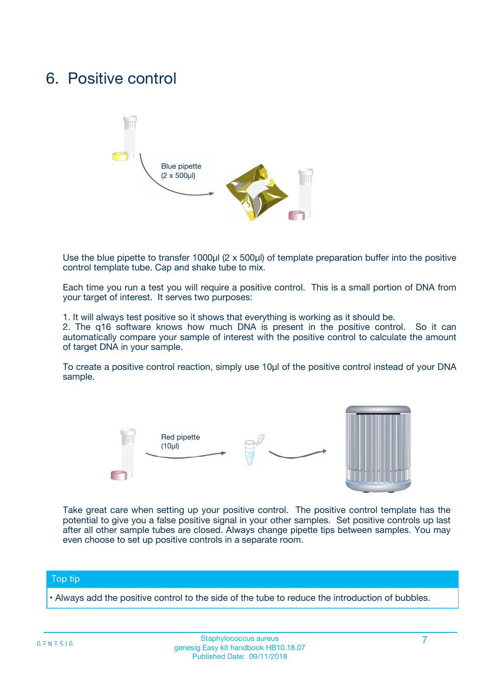# 6. Positive control



Use the blue pipette to transfer 1000µl (2 x 500µl) of template preparation buffer into the positive control template tube. Cap and shake tube to mix.

Each time you run a test you will require a positive control. This is a small portion of DNA from your target of interest. It serves two purposes:

1. It will always test positive so it shows that everything is working as it should be.

2. The q16 software knows how much DNA is present in the positive control. So it can automatically compare your sample of interest with the positive control to calculate the amount of target DNA in your sample.

To create a positive control reaction, simply use 10µl of the positive control instead of your DNA sample.



Take great care when setting up your positive control. The positive control template has the potential to give you a false positive signal in your other samples. Set positive controls up last after all other sample tubes are closed. Always change pipette tips between samples. You may even choose to set up positive controls in a separate room.

#### Top tip

**•** Always add the positive control to the side of the tube to reduce the introduction of bubbles.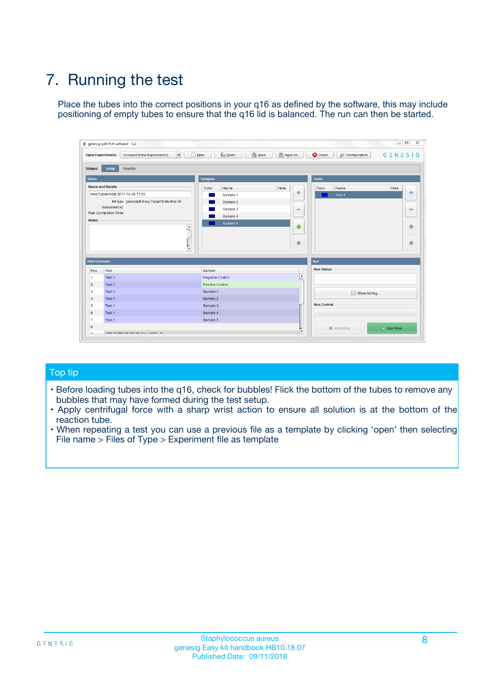# 7. Running the test

Place the tubes into the correct positions in your q16 as defined by the software, this may include positioning of empty tubes to ensure that the q16 lid is balanced. The run can then be started.

| genesig q16 PCR software - 1.2                                               |                                     | $\Box$                                                                                  |
|------------------------------------------------------------------------------|-------------------------------------|-----------------------------------------------------------------------------------------|
| Unsaved (New Experiment 2<br>$\vert \cdot \vert$<br><b>Open Experiments:</b> | <b>D</b> Open<br>Save<br>$\Box$ New | Save As<br><b>C</b> Close<br>$G \equiv N \equiv S \mid G$<br><b>&amp; Configuration</b> |
| Setup<br><b>Results</b><br><b>Stages:</b>                                    |                                     |                                                                                         |
| <b>Notes</b>                                                                 | Samples                             | <b>Tests</b>                                                                            |
| <b>Name and Details</b>                                                      | Color<br>Name                       | Note<br>Color<br>Note<br>Name                                                           |
| New Experiment 2017-10-26 11:06                                              | Sample 1                            | ع<br>条<br>Test 1                                                                        |
| Kit type: genesig® Easy Target Detection kit                                 | Sample 2                            |                                                                                         |
| Instrument Id.:                                                              | Sample 3                            | $\qquad \qquad \blacksquare$<br>$\qquad \qquad \blacksquare$                            |
| Run Completion Time:                                                         | Sample 4                            |                                                                                         |
| <b>Notes</b>                                                                 | Sample 5<br>A<br>v                  | $\triangle$<br>4<br>$\oplus$<br>₩                                                       |
| <b>Well Contents</b>                                                         |                                     | <b>Run</b>                                                                              |
| Pos.<br>Test                                                                 | Sample                              | <b>Run Status</b>                                                                       |
| Test 1<br>-1                                                                 | <b>Negative Control</b>             | $\blacktriangle$                                                                        |
| $\overline{2}$<br>Test 1                                                     | <b>Positive Control</b>             |                                                                                         |
| $\overline{\mathbf{3}}$<br>Test 1                                            | Sample 1                            | Show full log                                                                           |
| Test 1<br>$\overline{4}$                                                     | Sample 2                            |                                                                                         |
| 5<br>Test 1                                                                  | Sample 3                            | <b>Run Control</b>                                                                      |
| 6<br>Test 1                                                                  | Sample 4                            |                                                                                         |
| $\overline{7}$<br>Test 1                                                     | Sample 5                            |                                                                                         |
| 8                                                                            |                                     | $\triangleright$ Start Run<br>Abort Run                                                 |
| <b>JOD FURTY TUDE TO BUILDED IN</b>                                          |                                     | $\overline{\mathbf{v}}$                                                                 |

#### Top tip

- Before loading tubes into the q16, check for bubbles! Flick the bottom of the tubes to remove any bubbles that may have formed during the test setup.
- Apply centrifugal force with a sharp wrist action to ensure all solution is at the bottom of the reaction tube.
- When repeating a test you can use a previous file as a template by clicking 'open' then selecting File name > Files of Type > Experiment file as template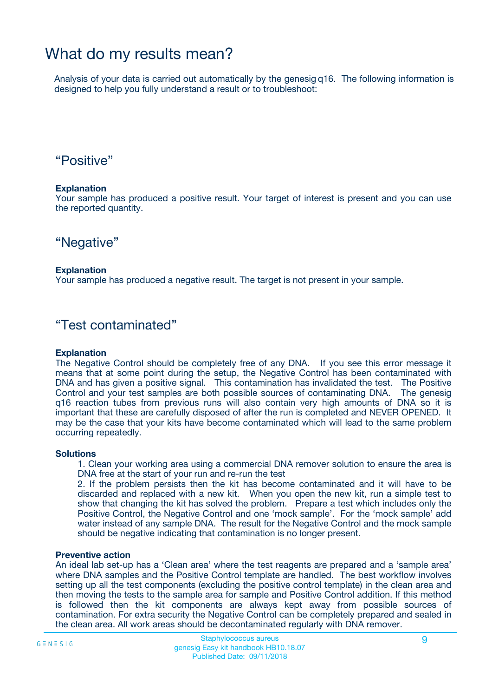# What do my results mean?

Analysis of your data is carried out automatically by the genesig q16. The following information is designed to help you fully understand a result or to troubleshoot:

### "Positive"

#### **Explanation**

Your sample has produced a positive result. Your target of interest is present and you can use the reported quantity.

"Negative"

#### **Explanation**

Your sample has produced a negative result. The target is not present in your sample.

### "Test contaminated"

#### **Explanation**

The Negative Control should be completely free of any DNA. If you see this error message it means that at some point during the setup, the Negative Control has been contaminated with DNA and has given a positive signal. This contamination has invalidated the test. The Positive Control and your test samples are both possible sources of contaminating DNA. The genesig q16 reaction tubes from previous runs will also contain very high amounts of DNA so it is important that these are carefully disposed of after the run is completed and NEVER OPENED. It may be the case that your kits have become contaminated which will lead to the same problem occurring repeatedly.

#### **Solutions**

1. Clean your working area using a commercial DNA remover solution to ensure the area is DNA free at the start of your run and re-run the test

2. If the problem persists then the kit has become contaminated and it will have to be discarded and replaced with a new kit. When you open the new kit, run a simple test to show that changing the kit has solved the problem. Prepare a test which includes only the Positive Control, the Negative Control and one 'mock sample'. For the 'mock sample' add water instead of any sample DNA. The result for the Negative Control and the mock sample should be negative indicating that contamination is no longer present.

#### **Preventive action**

An ideal lab set-up has a 'Clean area' where the test reagents are prepared and a 'sample area' where DNA samples and the Positive Control template are handled. The best workflow involves setting up all the test components (excluding the positive control template) in the clean area and then moving the tests to the sample area for sample and Positive Control addition. If this method is followed then the kit components are always kept away from possible sources of contamination. For extra security the Negative Control can be completely prepared and sealed in the clean area. All work areas should be decontaminated regularly with DNA remover.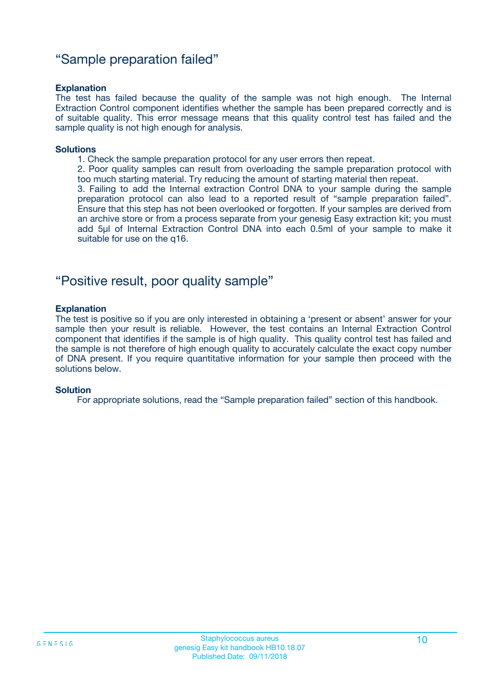### "Sample preparation failed"

#### **Explanation**

The test has failed because the quality of the sample was not high enough. The Internal Extraction Control component identifies whether the sample has been prepared correctly and is of suitable quality. This error message means that this quality control test has failed and the sample quality is not high enough for analysis.

#### **Solutions**

1. Check the sample preparation protocol for any user errors then repeat.

2. Poor quality samples can result from overloading the sample preparation protocol with too much starting material. Try reducing the amount of starting material then repeat.

3. Failing to add the Internal extraction Control DNA to your sample during the sample preparation protocol can also lead to a reported result of "sample preparation failed". Ensure that this step has not been overlooked or forgotten. If your samples are derived from an archive store or from a process separate from your genesig Easy extraction kit; you must add 5µl of Internal Extraction Control DNA into each 0.5ml of your sample to make it suitable for use on the q16.

### "Positive result, poor quality sample"

#### **Explanation**

The test is positive so if you are only interested in obtaining a 'present or absent' answer for your sample then your result is reliable. However, the test contains an Internal Extraction Control component that identifies if the sample is of high quality. This quality control test has failed and the sample is not therefore of high enough quality to accurately calculate the exact copy number of DNA present. If you require quantitative information for your sample then proceed with the solutions below.

#### **Solution**

For appropriate solutions, read the "Sample preparation failed" section of this handbook.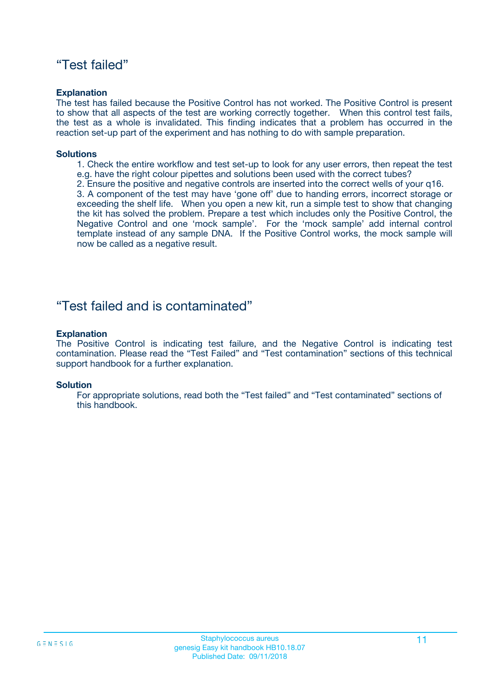### "Test failed"

#### **Explanation**

The test has failed because the Positive Control has not worked. The Positive Control is present to show that all aspects of the test are working correctly together. When this control test fails, the test as a whole is invalidated. This finding indicates that a problem has occurred in the reaction set-up part of the experiment and has nothing to do with sample preparation.

#### **Solutions**

- 1. Check the entire workflow and test set-up to look for any user errors, then repeat the test e.g. have the right colour pipettes and solutions been used with the correct tubes?
- 2. Ensure the positive and negative controls are inserted into the correct wells of your q16.

3. A component of the test may have 'gone off' due to handing errors, incorrect storage or exceeding the shelf life. When you open a new kit, run a simple test to show that changing the kit has solved the problem. Prepare a test which includes only the Positive Control, the Negative Control and one 'mock sample'. For the 'mock sample' add internal control template instead of any sample DNA. If the Positive Control works, the mock sample will now be called as a negative result.

### "Test failed and is contaminated"

#### **Explanation**

The Positive Control is indicating test failure, and the Negative Control is indicating test contamination. Please read the "Test Failed" and "Test contamination" sections of this technical support handbook for a further explanation.

#### **Solution**

For appropriate solutions, read both the "Test failed" and "Test contaminated" sections of this handbook.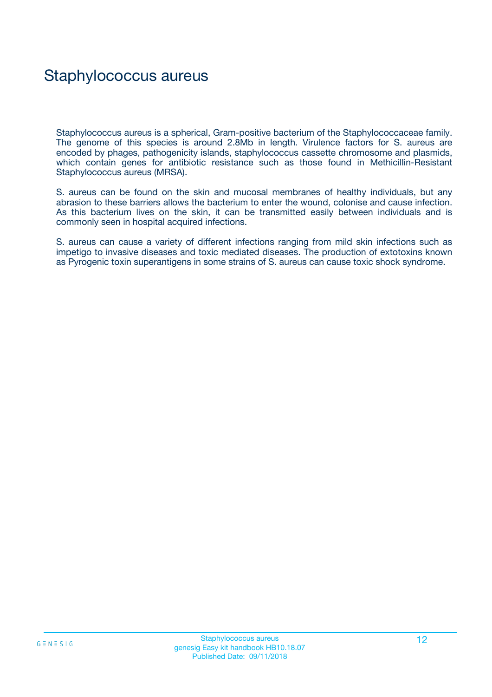# Staphylococcus aureus

Staphylococcus aureus is a spherical, Gram-positive bacterium of the Staphylococcaceae family. The genome of this species is around 2.8Mb in length. Virulence factors for S. aureus are encoded by phages, pathogenicity islands, staphylococcus cassette chromosome and plasmids, which contain genes for antibiotic resistance such as those found in Methicillin-Resistant Staphylococcus aureus (MRSA).

S. aureus can be found on the skin and mucosal membranes of healthy individuals, but any abrasion to these barriers allows the bacterium to enter the wound, colonise and cause infection. As this bacterium lives on the skin, it can be transmitted easily between individuals and is commonly seen in hospital acquired infections.

S. aureus can cause a variety of different infections ranging from mild skin infections such as impetigo to invasive diseases and toxic mediated diseases. The production of extotoxins known as Pyrogenic toxin superantigens in some strains of S. aureus can cause toxic shock syndrome.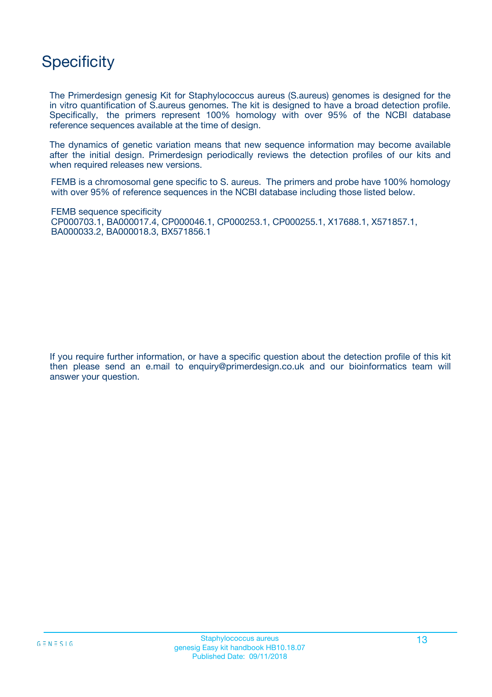# **Specificity**

The Primerdesign genesig Kit for Staphylococcus aureus (S.aureus) genomes is designed for the in vitro quantification of S.aureus genomes. The kit is designed to have a broad detection profile. Specifically, the primers represent 100% homology with over 95% of the NCBI database reference sequences available at the time of design.

The dynamics of genetic variation means that new sequence information may become available after the initial design. Primerdesign periodically reviews the detection profiles of our kits and when required releases new versions.

FEMB is a chromosomal gene specific to S. aureus. The primers and probe have 100% homology with over 95% of reference sequences in the NCBI database including those listed below.

FEMB sequence specificity CP000703.1, BA000017.4, CP000046.1, CP000253.1, CP000255.1, X17688.1, X571857.1, BA000033.2, BA000018.3, BX571856.1

If you require further information, or have a specific question about the detection profile of this kit then please send an e.mail to enquiry@primerdesign.co.uk and our bioinformatics team will answer your question.